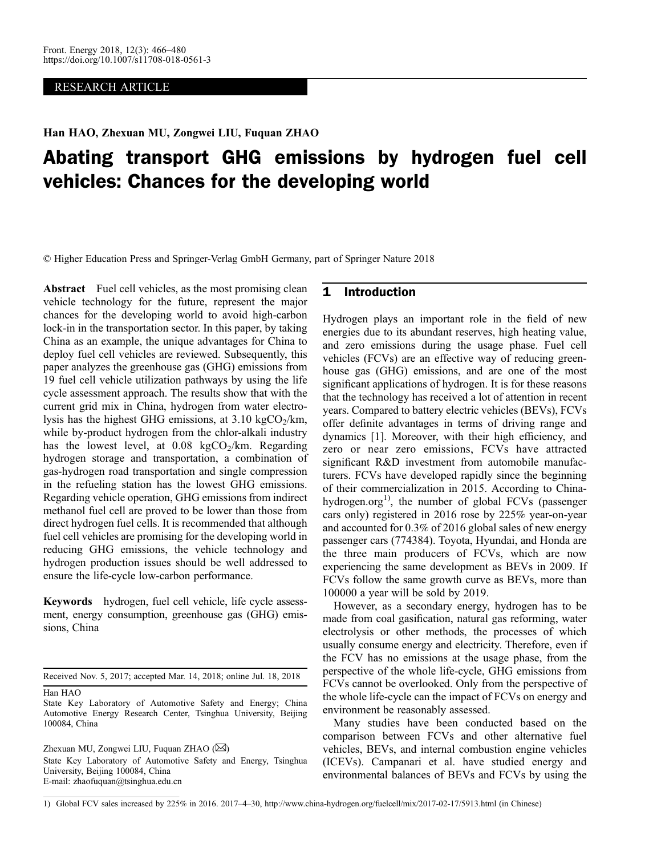## RESEARCH ARTICLE

Han HAO, Zhexuan MU, Zongwei LIU, Fuquan ZHAO

# Abating transport GHG emissions by hydrogen fuel cell vehicles: Chances for the developing world

© Higher Education Press and Springer-Verlag GmbH Germany, part of Springer Nature 2018

Abstract Fuel cell vehicles, as the most promising clean vehicle technology for the future, represent the major chances for the developing world to avoid high-carbon lock-in in the transportation sector. In this paper, by taking China as an example, the unique advantages for China to deploy fuel cell vehicles are reviewed. Subsequently, this paper analyzes the greenhouse gas (GHG) emissions from 19 fuel cell vehicle utilization pathways by using the life cycle assessment approach. The results show that with the current grid mix in China, hydrogen from water electrolysis has the highest GHG emissions, at  $3.10 \text{ kgCO}_2/\text{km}$ , while by-product hydrogen from the chlor-alkali industry has the lowest level, at  $0.08 \text{ kgCO}_2/\text{km}$ . Regarding hydrogen storage and transportation, a combination of gas-hydrogen road transportation and single compression in the refueling station has the lowest GHG emissions. Regarding vehicle operation, GHG emissions from indirect methanol fuel cell are proved to be lower than those from direct hydrogen fuel cells. It is recommended that although fuel cell vehicles are promising for the developing world in reducing GHG emissions, the vehicle technology and hydrogen production issues should be well addressed to ensure the life-cycle low-carbon performance.

Keywords hydrogen, fuel cell vehicle, life cycle assessment, energy consumption, greenhouse gas (GHG) emissions, China

Received Nov. 5, 2017; accepted Mar. 14, 2018; online Jul. 18, 2018

Han HAO

State Key Laboratory of Automotive Safety and Energy; China Automotive Energy Research Center, Tsinghua University, Beijing 100084, China

Zhexuan MU, Zongwei LIU, Fuquan ZHAO ( $\boxtimes$ )

State Key Laboratory of Automotive Safety and Energy, Tsinghua University, Beijing 100084, China E-mail: zhaofuquan@tsinghua.edu.cn

# 1 Introduction

Hydrogen plays an important role in the field of new energies due to its abundant reserves, high heating value, and zero emissions during the usage phase. Fuel cell vehicles (FCVs) are an effective way of reducing greenhouse gas (GHG) emissions, and are one of the most significant applications of hydrogen. It is for these reasons that the technology has received a lot of attention in recent years. Compared to battery electric vehicles (BEVs), FCVs offer definite advantages in terms of driving range and dynamics [[1](#page-13-0)]. Moreover, with their high efficiency, and zero or near zero emissions, FCVs have attracted significant R&D investment from automobile manufacturers. FCVs have developed rapidly since the beginning of their commercialization in 2015. According to Chinahydrogen.org<sup>1)</sup>, the number of global FCVs (passenger cars only) registered in 2016 rose by 225% year-on-year and accounted for 0.3% of 2016 global sales of new energy passenger cars (774384). Toyota, Hyundai, and Honda are the three main producers of FCVs, which are now experiencing the same development as BEVs in 2009. If FCVs follow the same growth curve as BEVs, more than 100000 a year will be sold by 2019.

However, as a secondary energy, hydrogen has to be made from coal gasification, natural gas reforming, water electrolysis or other methods, the processes of which usually consume energy and electricity. Therefore, even if the FCV has no emissions at the usage phase, from the perspective of the whole life-cycle, GHG emissions from FCVs cannot be overlooked. Only from the perspective of the whole life-cycle can the impact of FCVs on energy and environment be reasonably assessed.

Many studies have been conducted based on the comparison between FCVs and other alternative fuel vehicles, BEVs, and internal combustion engine vehicles (ICEVs). Campanari et al. have studied energy and environmental balances of BEVs and FCVs by using the

<sup>1)</sup> Global FCV sales increased by 225% in 2016. 2017–4–30, http://www.china-hydrogen.org/fuelcell/mix/2017-02-17/5913.html (in Chinese)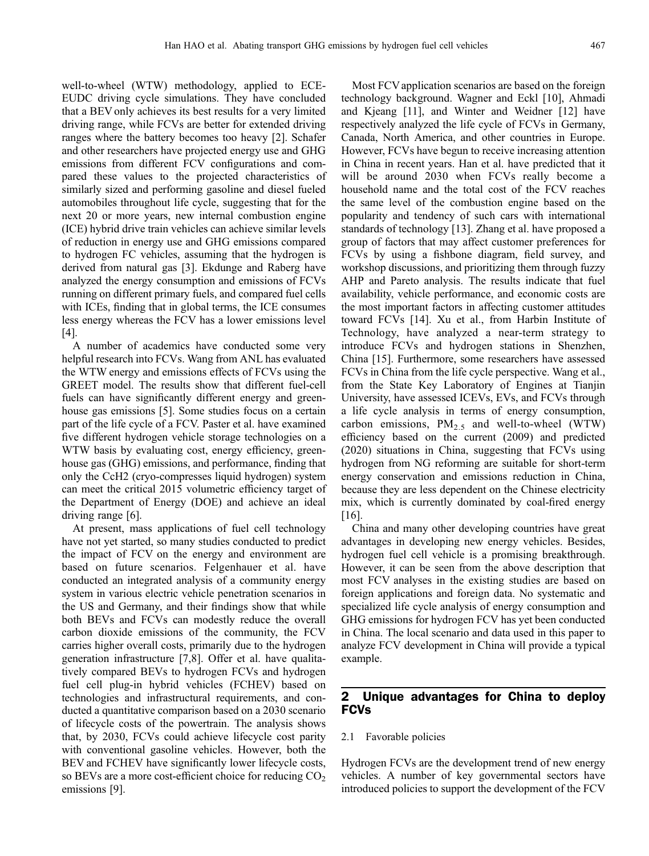well-to-wheel (WTW) methodology, applied to ECE-EUDC driving cycle simulations. They have concluded that a BEV only achieves its best results for a very limited driving range, while FCVs are better for extended driving ranges where the battery becomes too heavy [[2](#page-13-0)]. Schafer and other researchers have projected energy use and GHG emissions from different FCV configurations and compared these values to the projected characteristics of similarly sized and performing gasoline and diesel fueled automobiles throughout life cycle, suggesting that for the next 20 or more years, new internal combustion engine (ICE) hybrid drive train vehicles can achieve similar levels of reduction in energy use and GHG emissions compared to hydrogen FC vehicles, assuming that the hydrogen is derived from natural gas [[3](#page-13-0)]. Ekdunge and Raberg have analyzed the energy consumption and emissions of FCVs running on different primary fuels, and compared fuel cells with ICEs, finding that in global terms, the ICE consumes less energy whereas the FCV has a lower emissions level [\[4](#page-13-0)].

A number of academics have conducted some very helpful research into FCVs. Wang from ANL has evaluated the WTW energy and emissions effects of FCVs using the GREET model. The results show that different fuel-cell fuels can have significantly different energy and greenhouse gas emissions [\[5\]](#page-13-0). Some studies focus on a certain part of the life cycle of a FCV. Paster et al. have examined five different hydrogen vehicle storage technologies on a WTW basis by evaluating cost, energy efficiency, greenhouse gas (GHG) emissions, and performance, finding that only the CcH2 (cryo-compresses liquid hydrogen) system can meet the critical 2015 volumetric efficiency target of the Department of Energy (DOE) and achieve an ideal driving range [\[6](#page-13-0)].

At present, mass applications of fuel cell technology have not yet started, so many studies conducted to predict the impact of FCV on the energy and environment are based on future scenarios. Felgenhauer et al. have conducted an integrated analysis of a community energy system in various electric vehicle penetration scenarios in the US and Germany, and their findings show that while both BEVs and FCVs can modestly reduce the overall carbon dioxide emissions of the community, the FCV carries higher overall costs, primarily due to the hydrogen generation infrastructure [[7,](#page-13-0)[8\]](#page-14-0). Offer et al. have qualitatively compared BEVs to hydrogen FCVs and hydrogen fuel cell plug-in hybrid vehicles (FCHEV) based on technologies and infrastructural requirements, and conducted a quantitative comparison based on a 2030 scenario of lifecycle costs of the powertrain. The analysis shows that, by 2030, FCVs could achieve lifecycle cost parity with conventional gasoline vehicles. However, both the BEV and FCHEV have significantly lower lifecycle costs, so BEVs are a more cost-efficient choice for reducing  $CO<sub>2</sub>$ emissions [\[9](#page-14-0)].

Most FCV application scenarios are based on the foreign technology background. Wagner and Eckl [[10\]](#page-14-0), Ahmadi and Kjeang [[11\]](#page-14-0), and Winter and Weidner [\[12\]](#page-14-0) have respectively analyzed the life cycle of FCVs in Germany, Canada, North America, and other countries in Europe. However, FCVs have begun to receive increasing attention in China in recent years. Han et al. have predicted that it will be around 2030 when FCVs really become a household name and the total cost of the FCV reaches the same level of the combustion engine based on the popularity and tendency of such cars with international standards of technology [[13](#page-14-0)]. Zhang et al. have proposed a group of factors that may affect customer preferences for FCVs by using a fishbone diagram, field survey, and workshop discussions, and prioritizing them through fuzzy AHP and Pareto analysis. The results indicate that fuel availability, vehicle performance, and economic costs are the most important factors in affecting customer attitudes toward FCVs [[14](#page-14-0)]. Xu et al., from Harbin Institute of Technology, have analyzed a near-term strategy to introduce FCVs and hydrogen stations in Shenzhen, China [[15](#page-14-0)]. Furthermore, some researchers have assessed FCVs in China from the life cycle perspective. Wang et al., from the State Key Laboratory of Engines at Tianjin University, have assessed ICEVs, EVs, and FCVs through a life cycle analysis in terms of energy consumption, carbon emissions,  $PM_{2.5}$  and well-to-wheel (WTW) efficiency based on the current (2009) and predicted (2020) situations in China, suggesting that FCVs using hydrogen from NG reforming are suitable for short-term energy conservation and emissions reduction in China, because they are less dependent on the Chinese electricity mix, which is currently dominated by coal-fired energy [[16](#page-14-0)].

China and many other developing countries have great advantages in developing new energy vehicles. Besides, hydrogen fuel cell vehicle is a promising breakthrough. However, it can be seen from the above description that most FCV analyses in the existing studies are based on foreign applications and foreign data. No systematic and specialized life cycle analysis of energy consumption and GHG emissions for hydrogen FCV has yet been conducted in China. The local scenario and data used in this paper to analyze FCV development in China will provide a typical example.

# 2 Unique advantages for China to deploy FCVs

## 2.1 Favorable policies

Hydrogen FCVs are the development trend of new energy vehicles. A number of key governmental sectors have introduced policies to support the development of the FCV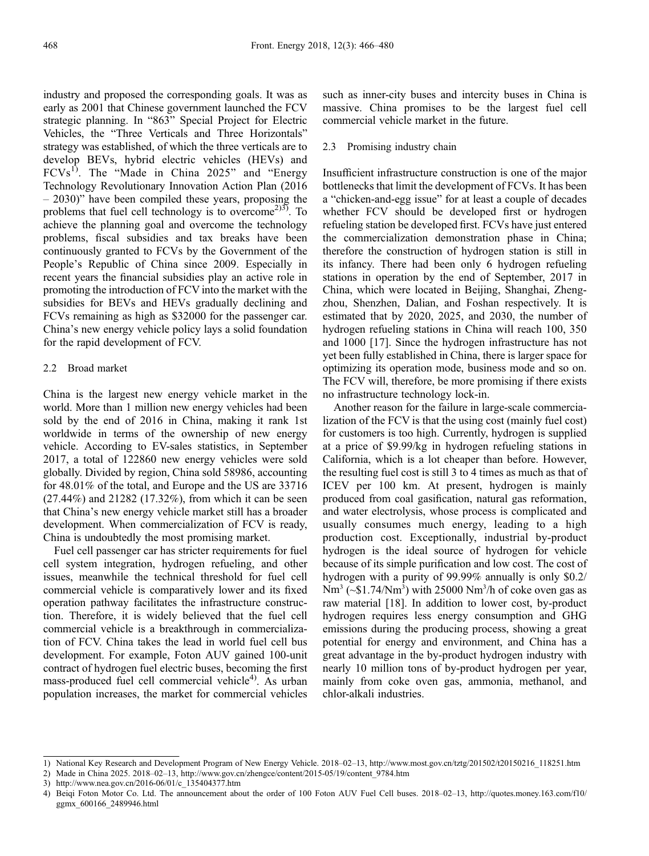industry and proposed the corresponding goals. It was as early as 2001 that Chinese government launched the FCV strategic planning. In "863" Special Project for Electric Vehicles, the "Three Verticals and Three Horizontals" strategy was established, of which the three verticals are to develop BEVs, hybrid electric vehicles (HEVs) and  $FCVs<sup>1</sup>$ . The "Made in China 2025" and "Energy Technology Revolutionary Innovation Action Plan (2016 – 2030)" have been compiled these years, proposing the problems that fuel cell technology is to overcome<sup>2)3)</sup>. To achieve the planning goal and overcome the technology problems, fiscal subsidies and tax breaks have been continuously granted to FCVs by the Government of the People's Republic of China since 2009. Especially in recent years the financial subsidies play an active role in promoting the introduction of FCV into the market with the subsidies for BEVs and HEVs gradually declining and FCVs remaining as high as \$32000 for the passenger car. China's new energy vehicle policy lays a solid foundation for the rapid development of FCV.

#### 2.2 Broad market

China is the largest new energy vehicle market in the world. More than 1 million new energy vehicles had been sold by the end of 2016 in China, making it rank 1st worldwide in terms of the ownership of new energy vehicle. According to EV-sales statistics, in September 2017, a total of 122860 new energy vehicles were sold globally. Divided by region, China sold 58986, accounting for 48.01% of the total, and Europe and the US are 33716 (27.44%) and 21282 (17.32%), from which it can be seen that China's new energy vehicle market still has a broader development. When commercialization of FCV is ready, China is undoubtedly the most promising market.

Fuel cell passenger car has stricter requirements for fuel cell system integration, hydrogen refueling, and other issues, meanwhile the technical threshold for fuel cell commercial vehicle is comparatively lower and its fixed operation pathway facilitates the infrastructure construction. Therefore, it is widely believed that the fuel cell commercial vehicle is a breakthrough in commercialization of FCV. China takes the lead in world fuel cell bus development. For example, Foton AUV gained 100-unit contract of hydrogen fuel electric buses, becoming the first mass-produced fuel cell commercial vehicle $4$ <sup>t</sup>). As urban population increases, the market for commercial vehicles

such as inner-city buses and intercity buses in China is massive. China promises to be the largest fuel cell commercial vehicle market in the future.

#### 2.3 Promising industry chain

Insufficient infrastructure construction is one of the major bottlenecks that limit the development of FCVs. It has been a "chicken-and-egg issue" for at least a couple of decades whether FCV should be developed first or hydrogen refueling station be developed first. FCVs have just entered the commercialization demonstration phase in China; therefore the construction of hydrogen station is still in its infancy. There had been only 6 hydrogen refueling stations in operation by the end of September, 2017 in China, which were located in Beijing, Shanghai, Zhengzhou, Shenzhen, Dalian, and Foshan respectively. It is estimated that by 2020, 2025, and 2030, the number of hydrogen refueling stations in China will reach 100, 350 and 1000 [[17](#page-14-0)]. Since the hydrogen infrastructure has not yet been fully established in China, there is larger space for optimizing its operation mode, business mode and so on. The FCV will, therefore, be more promising if there exists no infrastructure technology lock-in.

Another reason for the failure in large-scale commercialization of the FCV is that the using cost (mainly fuel cost) for customers is too high. Currently, hydrogen is supplied at a price of \$9.99/kg in hydrogen refueling stations in California, which is a lot cheaper than before. However, the resulting fuel cost is still 3 to 4 times as much as that of ICEV per 100 km. At present, hydrogen is mainly produced from coal gasification, natural gas reformation, and water electrolysis, whose process is complicated and usually consumes much energy, leading to a high production cost. Exceptionally, industrial by-product hydrogen is the ideal source of hydrogen for vehicle because of its simple purification and low cost. The cost of hydrogen with a purity of 99.99% annually is only \$0.2/  $Nm^3$  (~\$1.74/Nm<sup>3</sup>) with 25000 Nm<sup>3</sup>/h of coke oven gas as raw material [\[18\]](#page-14-0). In addition to lower cost, by-product hydrogen requires less energy consumption and GHG emissions during the producing process, showing a great potential for energy and environment, and China has a great advantage in the by-product hydrogen industry with nearly 10 million tons of by-product hydrogen per year, mainly from coke oven gas, ammonia, methanol, and chlor-alkali industries.

<sup>1)</sup> National Key Research and Development Program of New Energy Vehicle. 2018–02–13, http://www.most.gov.cn/tztg/201502/t20150216\_118251.htm

<sup>2)</sup> Made in China 2025. 2018–02–13, http://www.gov.cn/zhengce/content/2015-05/19/content\_9784.htm

<sup>3)</sup> http://www.nea.gov.cn/2016-06/01/c\_135404377.htm

<sup>4)</sup> Beiqi Foton Motor Co. Ltd. The announcement about the order of 100 Foton AUV Fuel Cell buses. 2018–02–13, http://quotes.money.163.com/f10/ ggmx\_600166\_2489946.html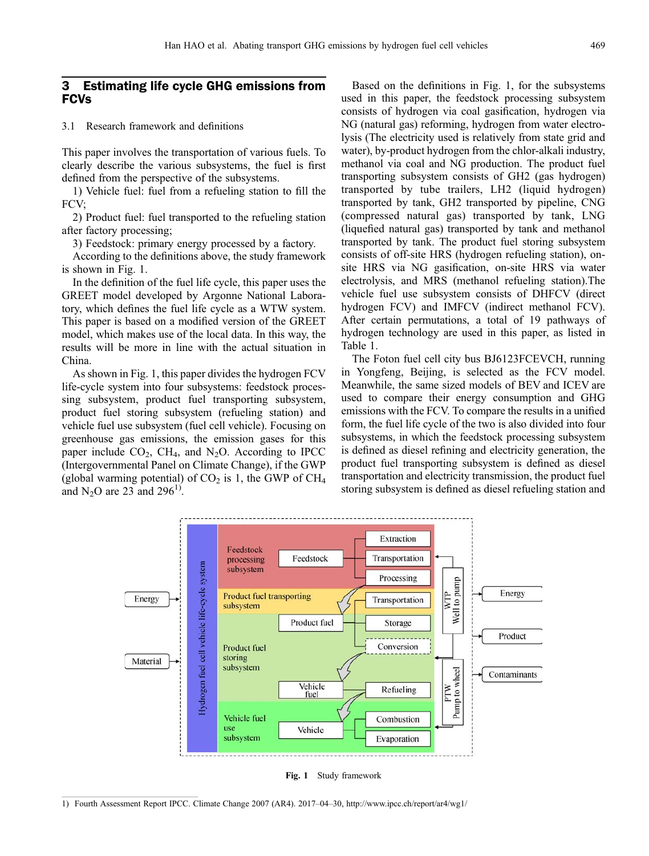# 3 Estimating life cycle GHG emissions from FCVs

## 3.1 Research framework and definitions

This paper involves the transportation of various fuels. To clearly describe the various subsystems, the fuel is first defined from the perspective of the subsystems.

1) Vehicle fuel: fuel from a refueling station to fill the FCV;

2) Product fuel: fuel transported to the refueling station after factory processing;

3) Feedstock: primary energy processed by a factory.

According to the definitions above, the study framework is shown in Fig. 1.

In the definition of the fuel life cycle, this paper uses the GREET model developed by Argonne National Laboratory, which defines the fuel life cycle as a WTW system. This paper is based on a modified version of the GREET model, which makes use of the local data. In this way, the results will be more in line with the actual situation in China.

As shown in Fig. 1, this paper divides the hydrogen FCV life-cycle system into four subsystems: feedstock processing subsystem, product fuel transporting subsystem, product fuel storing subsystem (refueling station) and vehicle fuel use subsystem (fuel cell vehicle). Focusing on greenhouse gas emissions, the emission gases for this paper include  $CO<sub>2</sub>$ , CH<sub>4</sub>, and N<sub>2</sub>O. According to IPCC (Intergovernmental Panel on Climate Change), if the GWP (global warming potential) of  $CO<sub>2</sub>$  is 1, the GWP of  $CH<sub>4</sub>$ and  $N_2$ O are 23 and 296<sup>1</sup>.

Based on the definitions in Fig. 1, for the subsystems used in this paper, the feedstock processing subsystem consists of hydrogen via coal gasification, hydrogen via NG (natural gas) reforming, hydrogen from water electrolysis (The electricity used is relatively from state grid and water), by-product hydrogen from the chlor-alkali industry, methanol via coal and NG production. The product fuel transporting subsystem consists of GH2 (gas hydrogen) transported by tube trailers, LH2 (liquid hydrogen) transported by tank, GH2 transported by pipeline, CNG (compressed natural gas) transported by tank, LNG (liquefied natural gas) transported by tank and methanol transported by tank. The product fuel storing subsystem consists of off-site HRS (hydrogen refueling station), onsite HRS via NG gasification, on-site HRS via water electrolysis, and MRS (methanol refueling station).The vehicle fuel use subsystem consists of DHFCV (direct hydrogen FCV) and IMFCV (indirect methanol FCV). After certain permutations, a total of 19 pathways of hydrogen technology are used in this paper, as listed in Table 1.

The Foton fuel cell city bus BJ6123FCEVCH, running in Yongfeng, Beijing, is selected as the FCV model. Meanwhile, the same sized models of BEV and ICEV are used to compare their energy consumption and GHG emissions with the FCV. To compare the results in a unified form, the fuel life cycle of the two is also divided into four subsystems, in which the feedstock processing subsystem is defined as diesel refining and electricity generation, the product fuel transporting subsystem is defined as diesel transportation and electricity transmission, the product fuel storing subsystem is defined as diesel refueling station and



Fig. 1 Study framework

<sup>1)</sup> Fourth Assessment Report IPCC. Climate Change 2007 (AR4). 2017–04–30, http://www.ipcc.ch/report/ar4/wg1/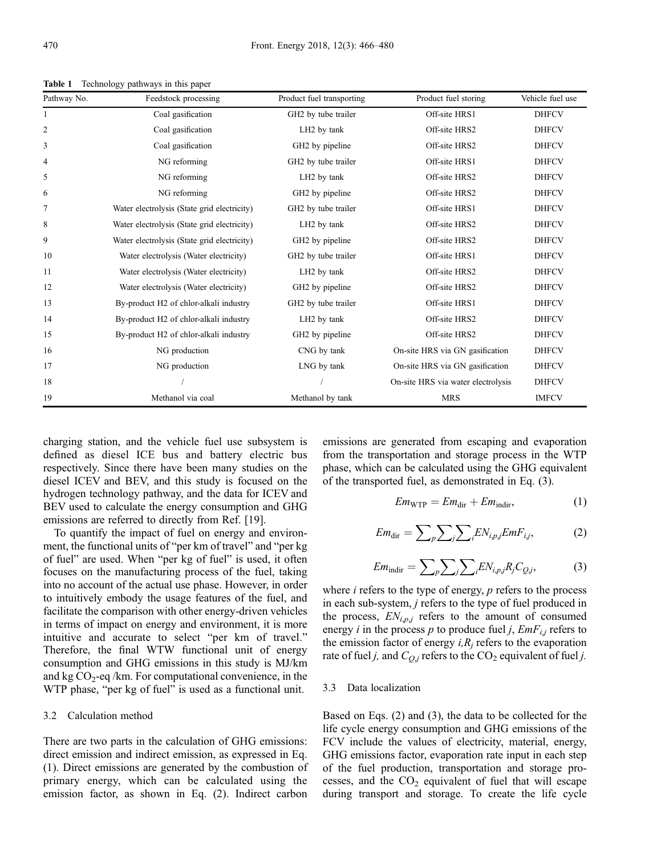| Pathway No. | Feedstock processing                        | Product fuel transporting   | Product fuel storing               | Vehicle fuel use |
|-------------|---------------------------------------------|-----------------------------|------------------------------------|------------------|
| 1           | Coal gasification                           | GH2 by tube trailer         | Off-site HRS1                      | <b>DHFCV</b>     |
| 2           | Coal gasification                           | LH <sub>2</sub> by tank     | Off-site HRS2                      | <b>DHFCV</b>     |
| 3           | Coal gasification                           | GH2 by pipeline             | Off-site HRS2                      | <b>DHFCV</b>     |
| 4           | NG reforming                                | GH2 by tube trailer         | Off-site HRS1                      | <b>DHFCV</b>     |
| 5           | NG reforming                                | LH <sub>2</sub> by tank     | Off-site HRS2                      | <b>DHFCV</b>     |
| 6           | NG reforming                                | GH2 by pipeline             | Off-site HRS2                      | <b>DHFCV</b>     |
| 7           | Water electrolysis (State grid electricity) | GH2 by tube trailer         | Off-site HRS1                      | <b>DHFCV</b>     |
| 8           | Water electrolysis (State grid electricity) | LH <sub>2</sub> by tank     | Off-site HRS2                      | <b>DHFCV</b>     |
| 9           | Water electrolysis (State grid electricity) | GH2 by pipeline             | Off-site HRS2                      | <b>DHFCV</b>     |
| 10          | Water electrolysis (Water electricity)      | GH2 by tube trailer         | Off-site HRS1                      | <b>DHFCV</b>     |
| 11          | Water electrolysis (Water electricity)      | LH <sub>2</sub> by tank     | Off-site HRS2                      | <b>DHFCV</b>     |
| 12          | Water electrolysis (Water electricity)      | GH <sub>2</sub> by pipeline | Off-site HRS2                      | <b>DHFCV</b>     |
| 13          | By-product H2 of chlor-alkali industry      | GH2 by tube trailer         | Off-site HRS1                      | <b>DHFCV</b>     |
| 14          | By-product H2 of chlor-alkali industry      | LH <sub>2</sub> by tank     | Off-site HRS2                      | <b>DHFCV</b>     |
| 15          | By-product H2 of chlor-alkali industry      | GH2 by pipeline             | Off-site HRS2                      | <b>DHFCV</b>     |
| 16          | NG production                               | CNG by tank                 | On-site HRS via GN gasification    | <b>DHFCV</b>     |
| 17          | NG production                               | LNG by tank                 | On-site HRS via GN gasification    | <b>DHFCV</b>     |
| 18          |                                             |                             | On-site HRS via water electrolysis | <b>DHFCV</b>     |
| 19          | Methanol via coal                           | Methanol by tank            | <b>MRS</b>                         | <b>IMFCV</b>     |

Table 1 Technology pathways in this paper

charging station, and the vehicle fuel use subsystem is defined as diesel ICE bus and battery electric bus respectively. Since there have been many studies on the diesel ICEV and BEV, and this study is focused on the hydrogen technology pathway, and the data for ICEV and BEV used to calculate the energy consumption and GHG emissions are referred to directly from Ref. [[19](#page-14-0)].

To quantify the impact of fuel on energy and environment, the functional units of "per km of travel" and "per kg of fuel" are used. When "per kg of fuel" is used, it often focuses on the manufacturing process of the fuel, taking into no account of the actual use phase. However, in order to intuitively embody the usage features of the fuel, and facilitate the comparison with other energy-driven vehicles in terms of impact on energy and environment, it is more intuitive and accurate to select "per km of travel." Therefore, the final WTW functional unit of energy consumption and GHG emissions in this study is MJ/km and kg  $CO_2$ -eq /km. For computational convenience, in the WTP phase, "per kg of fuel" is used as a functional unit.

#### 3.2 Calculation method

There are two parts in the calculation of GHG emissions: direct emission and indirect emission, as expressed in Eq. (1). Direct emissions are generated by the combustion of primary energy, which can be calculated using the emission factor, as shown in Eq. (2). Indirect carbon

emissions are generated from escaping and evaporation from the transportation and storage process in the WTP phase, which can be calculated using the GHG equivalent of the transported fuel, as demonstrated in Eq. (3).

$$
Em_{\text{WTP}} = Em_{\text{dir}} + Em_{\text{indir}},\tag{1}
$$

$$
Em_{\text{dir}} = \sum_{p} \sum_{j} \sum_{i} EN_{i,p,j} EmF_{i,j}, \tag{2}
$$

$$
Em_{\text{indir}} = \sum_{p} \sum_{j} \sum_{i} EN_{i,p,j} R_{j} C_{Q,j}, \qquad (3)
$$

where  $i$  refers to the type of energy,  $p$  refers to the process in each sub-system, j refers to the type of fuel produced in the process,  $EN_{i,p,j}$  refers to the amount of consumed energy *i* in the process *p* to produce fuel *j*,  $EmF_{i,j}$  refers to the emission factor of energy  $i, R_j$  refers to the evaporation rate of fuel j, and  $C_{Q,j}$  refers to the CO<sub>2</sub> equivalent of fuel j.

#### 3.3 Data localization

Based on Eqs. (2) and (3), the data to be collected for the life cycle energy consumption and GHG emissions of the FCV include the values of electricity, material, energy, GHG emissions factor, evaporation rate input in each step of the fuel production, transportation and storage processes, and the  $CO<sub>2</sub>$  equivalent of fuel that will escape during transport and storage. To create the life cycle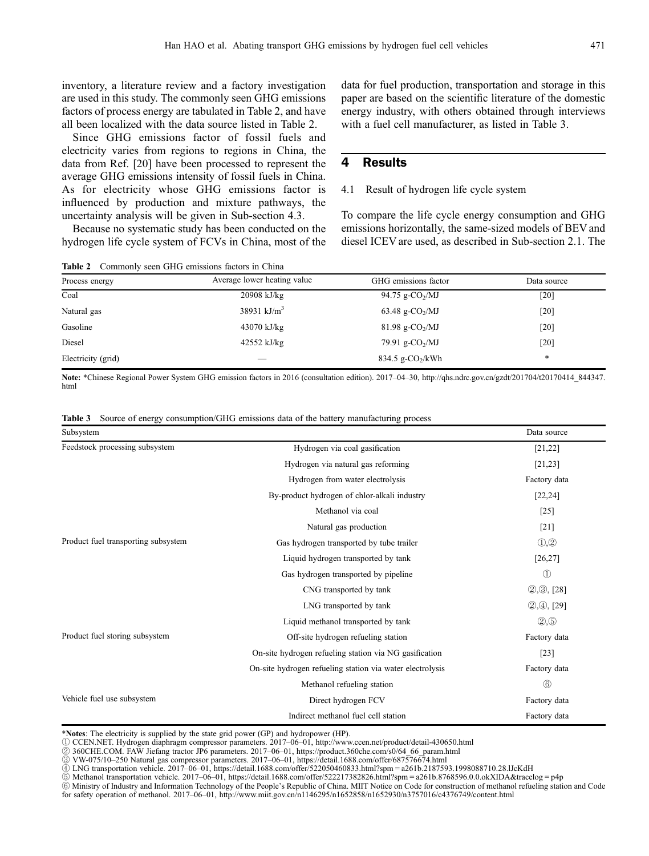inventory, a literature review and a factory investigation are used in this study. The commonly seen GHG emissions factors of process energy are tabulated in Table 2, and have all been localized with the data source listed in Table 2.

Since GHG emissions factor of fossil fuels and electricity varies from regions to regions in China, the data from Ref. [\[20\]](#page-14-0) have been processed to represent the average GHG emissions intensity of fossil fuels in China. As for electricity whose GHG emissions factor is influenced by production and mixture pathways, the uncertainty analysis will be given in Sub-section 4.3.

Because no systematic study has been conducted on the hydrogen life cycle system of FCVs in China, most of the

Table 2 Commonly seen GHG emissions factors in China

data for fuel production, transportation and storage in this paper are based on the scientific literature of the domestic energy industry, with others obtained through interviews with a fuel cell manufacturer, as listed in Table 3.

# 4 Results

# 4.1 Result of hydrogen life cycle system

To compare the life cycle energy consumption and GHG emissions horizontally, the same-sized models of BEV and diesel ICEV are used, as described in Sub-section 2.1. The

| Process energy     | Average lower heating value | GHG emissions factor           | Data source |  |
|--------------------|-----------------------------|--------------------------------|-------------|--|
| Coal               | $20908$ kJ/kg               | 94.75 g-CO <sub>2</sub> /MJ    | [20]        |  |
| Natural gas        | 38931 kJ/ $m^3$             | 63.48 g-CO <sub>2</sub> /MJ    | [20]        |  |
| Gasoline           | 43070 kJ/kg                 | $81.98$ g-CO <sub>2</sub> /MJ  | [20]        |  |
| Diesel             | $42552$ kJ/kg               | 79.91 g-CO <sub>2</sub> /MJ    | [20]        |  |
| Electricity (grid) | __                          | $834.5$ g-CO <sub>2</sub> /kWh | $\ast$      |  |

Note: \*Chinese Regional Power System GHG emission factors in 2016 (consultation edition). 2017–04–30, http://qhs.ndrc.gov.cn/gzdt/201704/t20170414\_844347. html

|  |  |  |  |  |  |  |  | <b>Table 3</b> Source of energy consumption/GHG emissions data of the battery manufacturing process |
|--|--|--|--|--|--|--|--|-----------------------------------------------------------------------------------------------------|
|--|--|--|--|--|--|--|--|-----------------------------------------------------------------------------------------------------|

| Subsystem                           |                                                           | Data source                    |
|-------------------------------------|-----------------------------------------------------------|--------------------------------|
| Feedstock processing subsystem      | Hydrogen via coal gasification                            | [21, 22]                       |
|                                     | Hydrogen via natural gas reforming                        | [21, 23]                       |
|                                     | Hydrogen from water electrolysis                          | Factory data                   |
|                                     | By-product hydrogen of chlor-alkali industry              | [22, 24]                       |
|                                     | Methanol via coal                                         | $[25]$                         |
|                                     | Natural gas production                                    | $[21]$                         |
| Product fuel transporting subsystem | Gas hydrogen transported by tube trailer                  | $\mathbb{O},\mathbb{Q}$        |
|                                     | Liquid hydrogen transported by tank                       | [26, 27]                       |
|                                     | Gas hydrogen transported by pipeline                      | $\textcircled{\scriptsize{1}}$ |
|                                     | CNG transported by tank                                   | (2, 3), [28]                   |
|                                     | LNG transported by tank                                   | $(2, 4)$ , [29]                |
|                                     | Liquid methanol transported by tank                       | (2, 5)                         |
| Product fuel storing subsystem      | Off-site hydrogen refueling station                       | Factory data                   |
|                                     | On-site hydrogen refueling station via NG gasification    | $[23]$                         |
|                                     | On-site hydrogen refueling station via water electrolysis | Factory data                   |
|                                     | Methanol refueling station                                | $\circledS$                    |
| Vehicle fuel use subsystem          | Direct hydrogen FCV                                       | Factory data                   |
|                                     | Indirect methanol fuel cell station                       | Factory data                   |

\*Notes: The electricity is supplied by the state grid power (GP) and hydropower (HP).

① CCEN.NET. Hydrogen diaphragm compressor parameters. 2017–06–01, http://www.ccen.net/product/detail-430650.html ② 360CHE.COM. FAW Jiefang tractor JP6 parameters. 2017–06–01, https://product.360che.com/s0/64\_66\_param.html

③ VW-075/10–250 Natural gas compressor parameters. 2017–06–01, https://detail.1688.com/offer/687576674.html<br>④ LNG transportation vehicle. 2017–06–01, https://detail.1688.com/offer/522050460833.html?spm = a261b.2187593.199

⑤ Methanol transportation vehicle. 2017–06–01, https://detail.1688.com/offer/522217382826.html?spm = a261b.8768596.0.0.okXIDA&tracelog = p4p

⑥ Ministry of Industry and Information Technology of the People's Republic of China. MIIT Notice on Code for construction of methanol refueling station and Code for safety operation of methanol. 2017–06–01, http://www.miit.gov.cn/n1146295/n1652858/n1652930/n3757016/c4376749/content.html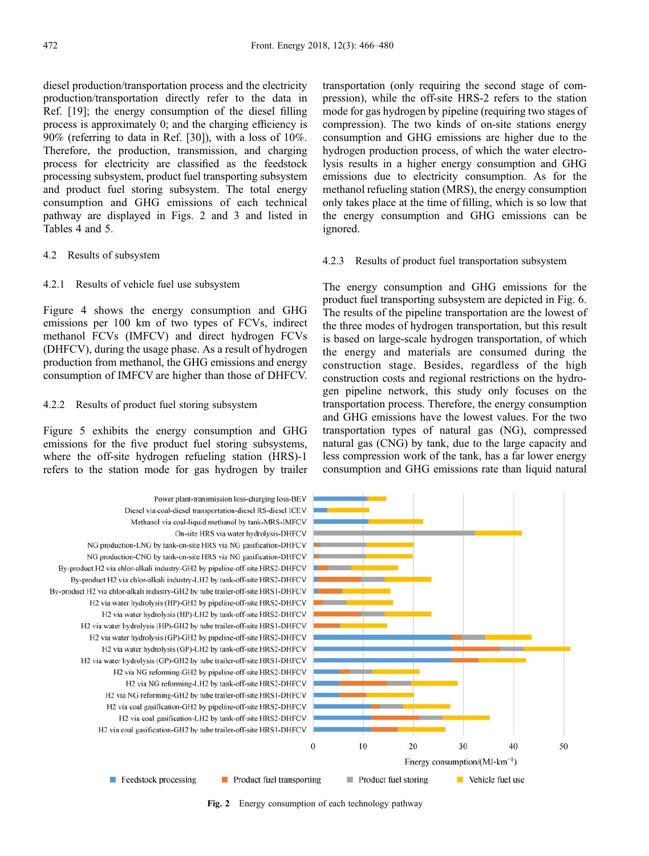diesel production/transportation process and the electricity production/transportation directly refer to the data in Ref. [[19](#page-14-0)]; the energy consumption of the diesel filling process is approximately 0; and the charging efficiency is 90% (referring to data in Ref. [\[30\]](#page-14-0)), with a loss of 10%. Therefore, the production, transmission, and charging process for electricity are classified as the feedstock processing subsystem, product fuel transporting subsystem and product fuel storing subsystem. The total energy consumption and GHG emissions of each technical pathway are displayed in Figs. 2 and 3 and listed in Tables 4 and 5.

#### 4.2 Results of subsystem

#### 4.2.1 Results of vehicle fuel use subsystem

Figure 4 shows the energy consumption and GHG emissions per 100 km of two types of FCVs, indirect methanol FCVs (IMFCV) and direct hydrogen FCVs (DHFCV), during the usage phase. As a result of hydrogen production from methanol, the GHG emissions and energy consumption of IMFCV are higher than those of DHFCV.

#### 4.2.2 Results of product fuel storing subsystem

Figure 5 exhibits the energy consumption and GHG emissions for the five product fuel storing subsystems, where the off-site hydrogen refueling station (HRS)-1 refers to the station mode for gas hydrogen by trailer

transportation (only requiring the second stage of compression), while the off-site HRS-2 refers to the station mode for gas hydrogen by pipeline (requiring two stages of compression). The two kinds of on-site stations energy consumption and GHG emissions are higher due to the hydrogen production process, of which the water electrolysis results in a higher energy consumption and GHG emissions due to electricity consumption. As for the methanol refueling station (MRS), the energy consumption only takes place at the time of filling, which is so low that the energy consumption and GHG emissions can be ignored.

#### 4.2.3 Results of product fuel transportation subsystem

The energy consumption and GHG emissions for the product fuel transporting subsystem are depicted in Fig. 6. The results of the pipeline transportation are the lowest of the three modes of hydrogen transportation, but this result is based on large-scale hydrogen transportation, of which the energy and materials are consumed during the construction stage. Besides, regardless of the high construction costs and regional restrictions on the hydrogen pipeline network, this study only focuses on the transportation process. Therefore, the energy consumption and GHG emissions have the lowest values. For the two transportation types of natural gas (NG), compressed natural gas (CNG) by tank, due to the large capacity and less compression work of the tank, has a far lower energy consumption and GHG emissions rate than liquid natural



Fig. 2 Energy consumption of each technology pathway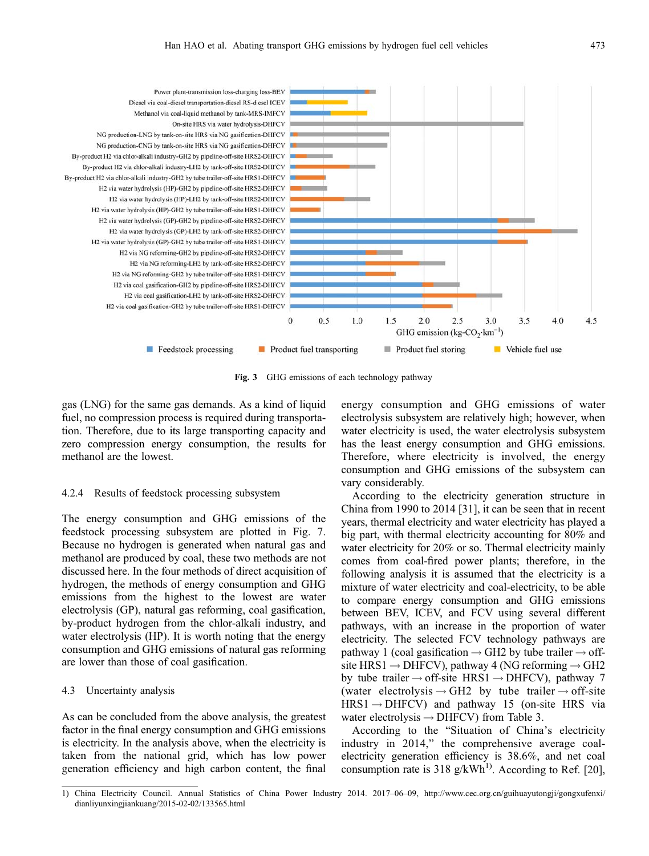

Fig. 3 GHG emissions of each technology pathway

gas (LNG) for the same gas demands. As a kind of liquid fuel, no compression process is required during transportation. Therefore, due to its large transporting capacity and zero compression energy consumption, the results for methanol are the lowest.

#### 4.2.4 Results of feedstock processing subsystem

The energy consumption and GHG emissions of the feedstock processing subsystem are plotted in Fig. 7. Because no hydrogen is generated when natural gas and methanol are produced by coal, these two methods are not discussed here. In the four methods of direct acquisition of hydrogen, the methods of energy consumption and GHG emissions from the highest to the lowest are water electrolysis (GP), natural gas reforming, coal gasification, by-product hydrogen from the chlor-alkali industry, and water electrolysis (HP). It is worth noting that the energy consumption and GHG emissions of natural gas reforming are lower than those of coal gasification.

## 4.3 Uncertainty analysis

As can be concluded from the above analysis, the greatest factor in the final energy consumption and GHG emissions is electricity. In the analysis above, when the electricity is taken from the national grid, which has low power generation efficiency and high carbon content, the final

energy consumption and GHG emissions of water electrolysis subsystem are relatively high; however, when water electricity is used, the water electrolysis subsystem has the least energy consumption and GHG emissions. Therefore, where electricity is involved, the energy consumption and GHG emissions of the subsystem can vary considerably.

According to the electricity generation structure in China from 1990 to 2014 [\[31\]](#page-14-0), it can be seen that in recent years, thermal electricity and water electricity has played a big part, with thermal electricity accounting for 80% and water electricity for 20% or so. Thermal electricity mainly comes from coal-fired power plants; therefore, in the following analysis it is assumed that the electricity is a mixture of water electricity and coal-electricity, to be able to compare energy consumption and GHG emissions between BEV, ICEV, and FCV using several different pathways, with an increase in the proportion of water electricity. The selected FCV technology pathways are pathway 1 (coal gasification  $\rightarrow$  GH2 by tube trailer  $\rightarrow$  offsite HRS1  $\rightarrow$  DHFCV), pathway 4 (NG reforming  $\rightarrow$  GH2 by tube trailer  $\rightarrow$  off-site HRS1  $\rightarrow$  DHFCV), pathway 7 (water electrolysis  $\rightarrow$  GH2 by tube trailer  $\rightarrow$  off-site  $HRS1 \rightarrow DHFCV$ ) and pathway 15 (on-site HRS via water electrolysis  $\rightarrow$  DHFCV) from Table 3.

According to the "Situation of China's electricity industry in 2014," the comprehensive average coalelectricity generation efficiency is 38.6%, and net coal consumption rate is 318 g/kWh<sup>1)</sup>. According to Ref. [\[20\]](#page-14-0),

<sup>1)</sup> China Electricity Council. Annual Statistics of China Power Industry 2014. 2017–06–09, http://www.cec.org.cn/guihuayutongji/gongxufenxi/ dianliyunxingjiankuang/2015-02-02/133565.html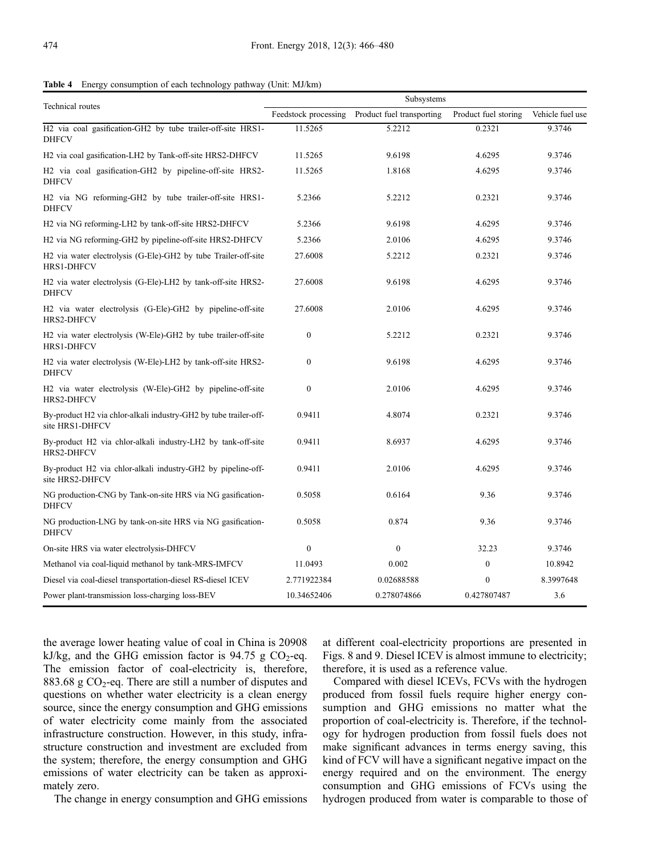Table 4 Energy consumption of each technology pathway (Unit: MJ/km)

|                                                                                                                         | Subsystems           |                           |                      |                  |  |  |  |
|-------------------------------------------------------------------------------------------------------------------------|----------------------|---------------------------|----------------------|------------------|--|--|--|
| <b>Technical</b> routes                                                                                                 | Feedstock processing | Product fuel transporting | Product fuel storing | Vehicle fuel use |  |  |  |
| H2 via coal gasification-GH2 by tube trailer-off-site HRS1-<br><b>DHFCV</b>                                             | 11.5265              | 5.2212                    | 0.2321               | 9.3746           |  |  |  |
| H <sub>2</sub> via coal gasification-LH <sub>2</sub> by Tank-off-site HRS <sub>2</sub> -DHFCV                           | 11.5265              | 9.6198                    | 4.6295               | 9.3746           |  |  |  |
| H <sub>2</sub> via coal gasification-GH <sub>2</sub> by pipeline-off-site HRS <sub>2</sub> -<br><b>DHFCV</b>            | 11.5265              | 1.8168                    | 4.6295               | 9.3746           |  |  |  |
| H <sub>2</sub> via N <sub>G</sub> reforming-GH <sub>2</sub> by tube trailer-off-site HRS <sub>1</sub> -<br><b>DHFCV</b> | 5.2366               | 5.2212                    | 0.2321               | 9.3746           |  |  |  |
| H <sub>2</sub> via N <sub>G</sub> reforming-LH <sub>2</sub> by tank-off-site HRS <sub>2</sub> -DHFCV                    | 5.2366               | 9.6198                    | 4.6295               | 9.3746           |  |  |  |
| H <sub>2</sub> via N <sub>G</sub> reforming-GH <sub>2</sub> by pipeline-off-site HRS <sub>2</sub> -DHFCV                | 5.2366               | 2.0106                    | 4.6295               | 9.3746           |  |  |  |
| H <sub>2</sub> via water electrolysis (G-Ele)-GH <sub>2</sub> by tube Trailer-off-site<br>HRS1-DHFCV                    | 27.6008              | 5.2212                    | 0.2321               | 9.3746           |  |  |  |
| H <sub>2</sub> via water electrolysis (G-Ele)-LH <sub>2</sub> by tank-off-site HRS <sub>2</sub> -<br><b>DHFCV</b>       | 27.6008              | 9.6198                    | 4.6295               | 9.3746           |  |  |  |
| H <sub>2</sub> via water electrolysis (G-Ele)-GH <sub>2</sub> by pipeline-off-site<br><b>HRS2-DHFCV</b>                 | 27.6008              | 2.0106                    | 4.6295               | 9.3746           |  |  |  |
| H <sub>2</sub> via water electrolysis (W-Ele)-GH <sub>2</sub> by tube trailer-off-site<br><b>HRS1-DHFCV</b>             | $\mathbf{0}$         | 5.2212                    | 0.2321               | 9.3746           |  |  |  |
| H2 via water electrolysis (W-Ele)-LH2 by tank-off-site HRS2-<br><b>DHFCV</b>                                            | $\mathbf{0}$         | 9.6198                    | 4.6295               | 9.3746           |  |  |  |
| H <sub>2</sub> via water electrolysis (W-Ele)-GH <sub>2</sub> by pipeline-off-site<br>HRS2-DHFCV                        | $\boldsymbol{0}$     | 2.0106                    | 4.6295               | 9.3746           |  |  |  |
| By-product H2 via chlor-alkali industry-GH2 by tube trailer-off-<br>site HRS1-DHFCV                                     | 0.9411               | 4.8074                    | 0.2321               | 9.3746           |  |  |  |
| By-product H2 via chlor-alkali industry-LH2 by tank-off-site<br>HRS2-DHFCV                                              | 0.9411               | 8.6937                    | 4.6295               | 9.3746           |  |  |  |
| By-product H2 via chlor-alkali industry-GH2 by pipeline-off-<br>site HRS2-DHFCV                                         | 0.9411               | 2.0106                    | 4.6295               | 9.3746           |  |  |  |
| NG production-CNG by Tank-on-site HRS via NG gasification-<br><b>DHFCV</b>                                              | 0.5058               | 0.6164                    | 9.36                 | 9.3746           |  |  |  |
| NG production-LNG by tank-on-site HRS via NG gasification-<br><b>DHFCV</b>                                              | 0.5058               | 0.874                     | 9.36                 | 9.3746           |  |  |  |
| On-site HRS via water electrolysis-DHFCV                                                                                | $\boldsymbol{0}$     | $\mathbf{0}$              | 32.23                | 9.3746           |  |  |  |
| Methanol via coal-liquid methanol by tank-MRS-IMFCV                                                                     | 11.0493              | 0.002                     | $\mathbf{0}$         | 10.8942          |  |  |  |
| Diesel via coal-diesel transportation-diesel RS-diesel ICEV                                                             | 2.771922384          | 0.02688588                | $\mathbf{0}$         | 8.3997648        |  |  |  |
| Power plant-transmission loss-charging loss-BEV                                                                         | 10.34652406          | 0.278074866               | 0.427807487          | 3.6              |  |  |  |

the average lower heating value of coal in China is 20908 kJ/kg, and the GHG emission factor is 94.75 g  $CO_2$ -eq. The emission factor of coal-electricity is, therefore, 883.68 g  $CO<sub>2</sub>$ -eq. There are still a number of disputes and questions on whether water electricity is a clean energy source, since the energy consumption and GHG emissions of water electricity come mainly from the associated infrastructure construction. However, in this study, infrastructure construction and investment are excluded from the system; therefore, the energy consumption and GHG emissions of water electricity can be taken as approximately zero.

The change in energy consumption and GHG emissions

at different coal-electricity proportions are presented in Figs. 8 and 9. Diesel ICEV is almost immune to electricity; therefore, it is used as a reference value.

Compared with diesel ICEVs, FCVs with the hydrogen produced from fossil fuels require higher energy consumption and GHG emissions no matter what the proportion of coal-electricity is. Therefore, if the technology for hydrogen production from fossil fuels does not make significant advances in terms energy saving, this kind of FCV will have a significant negative impact on the energy required and on the environment. The energy consumption and GHG emissions of FCVs using the hydrogen produced from water is comparable to those of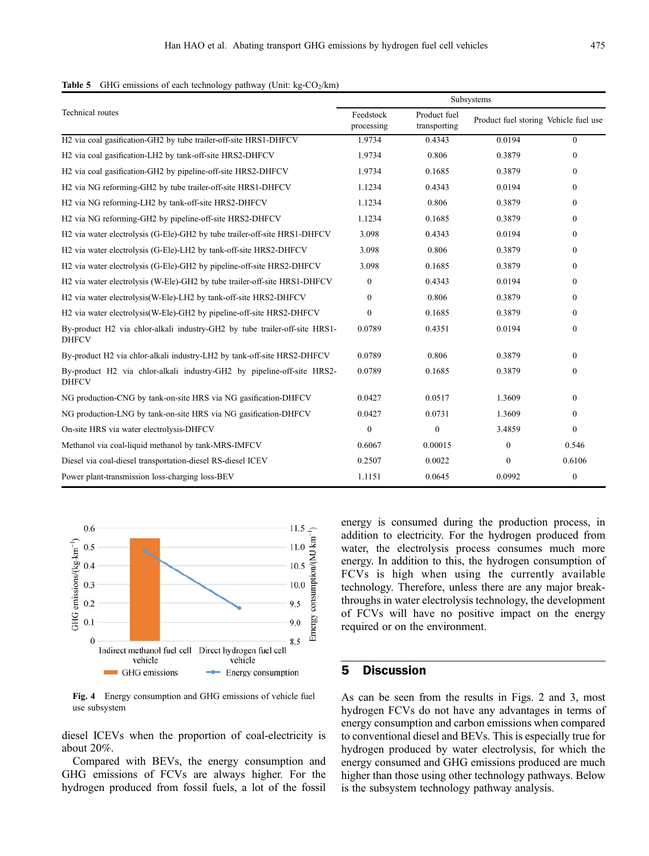| <b>Table 5</b> GHG emissions of each technology pathway (Unit: $kg\text{-}CO2/km$ ) |  |
|-------------------------------------------------------------------------------------|--|
|-------------------------------------------------------------------------------------|--|

|                                                                                                            | Subsystems              |                              |                                       |                |  |  |
|------------------------------------------------------------------------------------------------------------|-------------------------|------------------------------|---------------------------------------|----------------|--|--|
| Technical routes                                                                                           | Feedstock<br>processing | Product fuel<br>transporting | Product fuel storing Vehicle fuel use |                |  |  |
| H2 via coal gasification-GH2 by tube trailer-off-site HRS1-DHFCV                                           | 1.9734                  | 0.4343                       | 0.0194                                | $\theta$       |  |  |
| H <sub>2</sub> via coal gasification-LH <sub>2</sub> by tank-off-site HRS <sub>2</sub> -DHFCV              | 1.9734                  | 0.806                        | 0.3879                                | $\mathbf{0}$   |  |  |
| H <sub>2</sub> via coal gasification-GH <sub>2</sub> by pipeline-off-site HRS <sub>2</sub> -DHFCV          | 1.9734                  | 0.1685                       | 0.3879                                | $\Omega$       |  |  |
| H2 via NG reforming-GH2 by tube trailer-off-site HRS1-DHFCV                                                | 1.1234                  | 0.4343                       | 0.0194                                | $\Omega$       |  |  |
| H <sub>2</sub> via N <sub>G</sub> reforming-LH <sub>2</sub> by tank-off-site HRS <sub>2</sub> -DHFCV       | 1.1234                  | 0.806                        | 0.3879                                | $\Omega$       |  |  |
| H2 via NG reforming-GH2 by pipeline-off-site HRS2-DHFCV                                                    | 1.1234                  | 0.1685                       | 0.3879                                | $\Omega$       |  |  |
| H2 via water electrolysis (G-Ele)-GH2 by tube trailer-off-site HRS1-DHFCV                                  | 3.098                   | 0.4343                       | 0.0194                                | $\Omega$       |  |  |
| H2 via water electrolysis (G-Ele)-LH2 by tank-off-site HRS2-DHFCV                                          | 3.098                   | 0.806                        | 0.3879                                | $\Omega$       |  |  |
| H <sub>2</sub> via water electrolysis (G-Ele)-GH <sub>2</sub> by pipeline-off-site HRS <sub>2</sub> -DHFCV | 3.098                   | 0.1685                       | 0.3879                                | $\Omega$       |  |  |
| H2 via water electrolysis (W-Ele)-GH2 by tube trailer-off-site HRS1-DHFCV                                  | $\mathbf{0}$            | 0.4343                       | 0.0194                                | $\theta$       |  |  |
| H2 via water electrolysis(W-Ele)-LH2 by tank-off-site HRS2-DHFCV                                           | $\Omega$                | 0.806                        | 0.3879                                | $\Omega$       |  |  |
| H2 via water electrolysis (W-Ele)-GH2 by pipeline-off-site HRS2-DHFCV                                      | $\overline{0}$          | 0.1685                       | 0.3879                                | $\Omega$       |  |  |
| By-product H2 via chlor-alkali industry-GH2 by tube trailer-off-site HRS1-<br><b>DHFCV</b>                 | 0.0789                  | 0.4351                       | 0.0194                                | $\theta$       |  |  |
| By-product H2 via chlor-alkali industry-LH2 by tank-off-site HRS2-DHFCV                                    | 0.0789                  | 0.806                        | 0.3879                                | $\Omega$       |  |  |
| By-product H2 via chlor-alkali industry-GH2 by pipeline-off-site HRS2-<br><b>DHFCV</b>                     | 0.0789                  | 0.1685                       | 0.3879                                | $\mathbf{0}$   |  |  |
| NG production-CNG by tank-on-site HRS via NG gasification-DHFCV                                            | 0.0427                  | 0.0517                       | 1.3609                                | $\overline{0}$ |  |  |
| NG production-LNG by tank-on-site HRS via NG gasification-DHFCV                                            | 0.0427                  | 0.0731                       | 1.3609                                | $\theta$       |  |  |
| On-site HRS via water electrolysis-DHFCV                                                                   | $\boldsymbol{0}$        | $\mathbf{0}$                 | 3.4859                                | $\mathbf{0}$   |  |  |
| Methanol via coal-liquid methanol by tank-MRS-IMFCV                                                        | 0.6067                  | 0.00015                      | $\mathbf{0}$                          | 0.546          |  |  |
| Diesel via coal-diesel transportation-diesel RS-diesel ICEV                                                | 0.2507                  | 0.0022                       | $\mathbf{0}$                          | 0.6106         |  |  |
| Power plant-transmission loss-charging loss-BEV                                                            | 1.1151                  | 0.0645                       | 0.0992                                | $\mathbf{0}$   |  |  |



Fig. 4 Energy consumption and GHG emissions of vehicle fuel use subsystem

diesel ICEVs when the proportion of coal-electricity is about 20%.

Compared with BEVs, the energy consumption and GHG emissions of FCVs are always higher. For the hydrogen produced from fossil fuels, a lot of the fossil energy is consumed during the production process, in addition to electricity. For the hydrogen produced from water, the electrolysis process consumes much more energy. In addition to this, the hydrogen consumption of FCVs is high when using the currently available technology. Therefore, unless there are any major breakthroughs in water electrolysis technology, the development of FCVs will have no positive impact on the energy required or on the environment.

## 5 Discussion

As can be seen from the results in Figs. 2 and 3, most hydrogen FCVs do not have any advantages in terms of energy consumption and carbon emissions when compared to conventional diesel and BEVs. This is especially true for hydrogen produced by water electrolysis, for which the energy consumed and GHG emissions produced are much higher than those using other technology pathways. Below is the subsystem technology pathway analysis.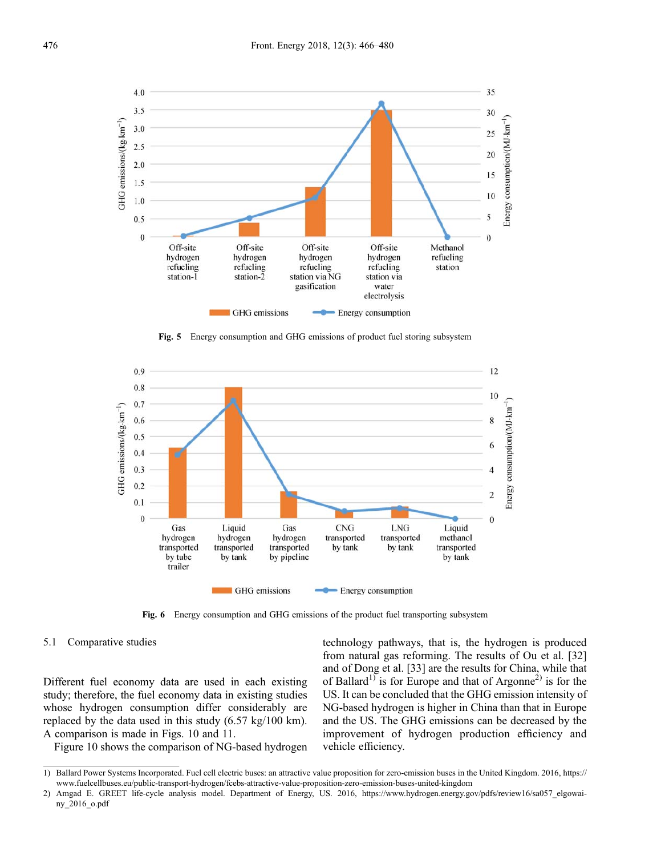

Fig. 5 Energy consumption and GHG emissions of product fuel storing subsystem



Fig. 6 Energy consumption and GHG emissions of the product fuel transporting subsystem

#### 5.1 Comparative studies

Different fuel economy data are used in each existing study; therefore, the fuel economy data in existing studies whose hydrogen consumption differ considerably are replaced by the data used in this study (6.57 kg/100 km). A comparison is made in Figs. 10 and 11.

Figure 10 shows the comparison of NG-based hydrogen

technology pathways, that is, the hydrogen is produced from natural gas reforming. The results of Ou et al. [[32](#page-14-0)] and of Dong et al. [[33](#page-14-0)] are the results for China, while that of Ballard<sup>1)</sup> is for Europe and that of Argonne<sup>2)</sup> is for the US. It can be concluded that the GHG emission intensity of NG-based hydrogen is higher in China than that in Europe and the US. The GHG emissions can be decreased by the improvement of hydrogen production efficiency and vehicle efficiency.

<sup>1)</sup> Ballard Power Systems Incorporated. Fuel cell electric buses: an attractive value proposition for zero-emission buses in the United Kingdom. 2016, https:// www.fuelcellbuses.eu/public-transport-hydrogen/fcebs-attractive-value-proposition-zero-emission-buses-united-kingdom

<sup>2)</sup> Amgad E. GREET life-cycle analysis model. Department of Energy, US. 2016, https://www.hydrogen.energy.gov/pdfs/review16/sa057\_elgowainy\_2016\_o.pdf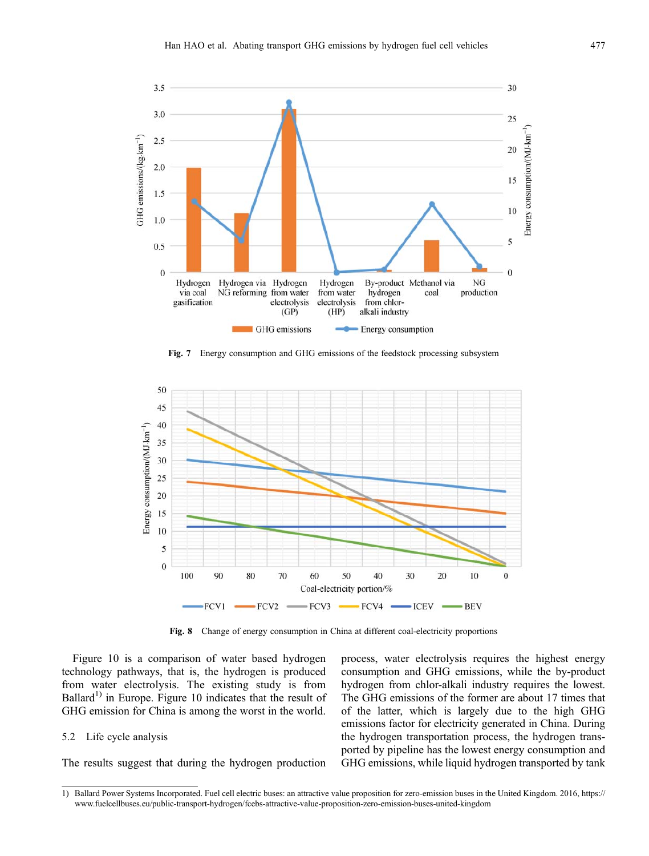

Fig. 7 Energy consumption and GHG emissions of the feedstock processing subsystem



Fig. 8 Change of energy consumption in China at different coal-electricity proportions

Figure 10 is a comparison of water based hydrogen technology pathways, that is, the hydrogen is produced from water electrolysis. The existing study is from Ballard<sup>1)</sup> in Europe. Figure 10 indicates that the result of GHG emission for China is among the worst in the world.

#### 5.2 Life cycle analysis

The results suggest that during the hydrogen production

process, water electrolysis requires the highest energy consumption and GHG emissions, while the by-product hydrogen from chlor-alkali industry requires the lowest. The GHG emissions of the former are about 17 times that of the latter, which is largely due to the high GHG emissions factor for electricity generated in China. During the hydrogen transportation process, the hydrogen transported by pipeline has the lowest energy consumption and GHG emissions, while liquid hydrogen transported by tank

<sup>1)</sup> Ballard Power Systems Incorporated. Fuel cell electric buses: an attractive value proposition for zero-emission buses in the United Kingdom. 2016, https:// www.fuelcellbuses.eu/public-transport-hydrogen/fcebs-attractive-value-proposition-zero-emission-buses-united-kingdom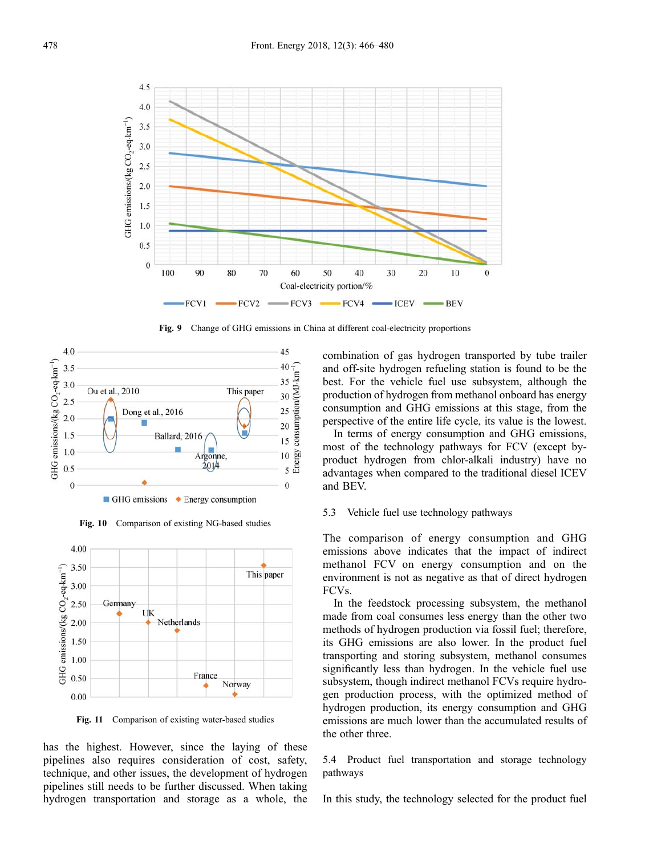

Fig. 9 Change of GHG emissions in China at different coal-electricity proportions



Fig. 10 Comparison of existing NG-based studies



Fig. 11 Comparison of existing water-based studies

has the highest. However, since the laying of these pipelines also requires consideration of cost, safety, technique, and other issues, the development of hydrogen pipelines still needs to be further discussed. When taking hydrogen transportation and storage as a whole, the combination of gas hydrogen transported by tube trailer and off-site hydrogen refueling station is found to be the best. For the vehicle fuel use subsystem, although the production of hydrogen from methanol onboard has energy consumption and GHG emissions at this stage, from the perspective of the entire life cycle, its value is the lowest.

In terms of energy consumption and GHG emissions, most of the technology pathways for FCV (except byproduct hydrogen from chlor-alkali industry) have no advantages when compared to the traditional diesel ICEV and BEV.

## 5.3 Vehicle fuel use technology pathways

The comparison of energy consumption and GHG emissions above indicates that the impact of indirect methanol FCV on energy consumption and on the environment is not as negative as that of direct hydrogen FCVs.

In the feedstock processing subsystem, the methanol made from coal consumes less energy than the other two methods of hydrogen production via fossil fuel; therefore, its GHG emissions are also lower. In the product fuel transporting and storing subsystem, methanol consumes significantly less than hydrogen. In the vehicle fuel use subsystem, though indirect methanol FCVs require hydrogen production process, with the optimized method of hydrogen production, its energy consumption and GHG emissions are much lower than the accumulated results of the other three.

5.4 Product fuel transportation and storage technology pathways

In this study, the technology selected for the product fuel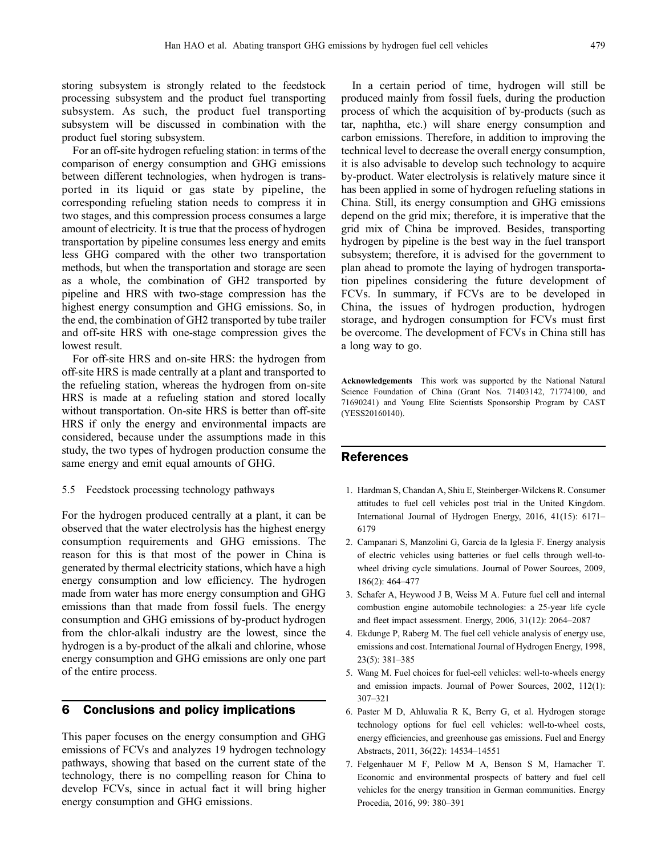<span id="page-13-0"></span>storing subsystem is strongly related to the feedstock processing subsystem and the product fuel transporting subsystem. As such, the product fuel transporting subsystem will be discussed in combination with the product fuel storing subsystem.

For an off-site hydrogen refueling station: in terms of the comparison of energy consumption and GHG emissions between different technologies, when hydrogen is transported in its liquid or gas state by pipeline, the corresponding refueling station needs to compress it in two stages, and this compression process consumes a large amount of electricity. It is true that the process of hydrogen transportation by pipeline consumes less energy and emits less GHG compared with the other two transportation methods, but when the transportation and storage are seen as a whole, the combination of GH2 transported by pipeline and HRS with two-stage compression has the highest energy consumption and GHG emissions. So, in the end, the combination of GH2 transported by tube trailer and off-site HRS with one-stage compression gives the lowest result.

For off-site HRS and on-site HRS: the hydrogen from off-site HRS is made centrally at a plant and transported to the refueling station, whereas the hydrogen from on-site HRS is made at a refueling station and stored locally without transportation. On-site HRS is better than off-site HRS if only the energy and environmental impacts are considered, because under the assumptions made in this study, the two types of hydrogen production consume the same energy and emit equal amounts of GHG.

5.5 Feedstock processing technology pathways

For the hydrogen produced centrally at a plant, it can be observed that the water electrolysis has the highest energy consumption requirements and GHG emissions. The reason for this is that most of the power in China is generated by thermal electricity stations, which have a high energy consumption and low efficiency. The hydrogen made from water has more energy consumption and GHG emissions than that made from fossil fuels. The energy consumption and GHG emissions of by-product hydrogen from the chlor-alkali industry are the lowest, since the hydrogen is a by-product of the alkali and chlorine, whose energy consumption and GHG emissions are only one part of the entire process.

# 6 Conclusions and policy implications

This paper focuses on the energy consumption and GHG emissions of FCVs and analyzes 19 hydrogen technology pathways, showing that based on the current state of the technology, there is no compelling reason for China to develop FCVs, since in actual fact it will bring higher energy consumption and GHG emissions.

In a certain period of time, hydrogen will still be produced mainly from fossil fuels, during the production process of which the acquisition of by-products (such as tar, naphtha, etc.) will share energy consumption and carbon emissions. Therefore, in addition to improving the technical level to decrease the overall energy consumption, it is also advisable to develop such technology to acquire by-product. Water electrolysis is relatively mature since it has been applied in some of hydrogen refueling stations in China. Still, its energy consumption and GHG emissions depend on the grid mix; therefore, it is imperative that the grid mix of China be improved. Besides, transporting hydrogen by pipeline is the best way in the fuel transport subsystem; therefore, it is advised for the government to plan ahead to promote the laying of hydrogen transportation pipelines considering the future development of FCVs. In summary, if FCVs are to be developed in China, the issues of hydrogen production, hydrogen storage, and hydrogen consumption for FCVs must first be overcome. The development of FCVs in China still has a long way to go.

Acknowledgements This work was supported by the National Natural Science Foundation of China (Grant Nos. 71403142, 71774100, and 71690241) and Young Elite Scientists Sponsorship Program by CAST (YESS20160140).

# References

- 1. Hardman S, Chandan A, Shiu E, Steinberger-Wilckens R. Consumer attitudes to fuel cell vehicles post trial in the United Kingdom. International Journal of Hydrogen Energy, 2016, 41(15): 6171– 6179
- 2. Campanari S, Manzolini G, Garcia de la Iglesia F. Energy analysis of electric vehicles using batteries or fuel cells through well-towheel driving cycle simulations. Journal of Power Sources, 2009, 186(2): 464–477
- 3. Schafer A, Heywood J B, Weiss M A. Future fuel cell and internal combustion engine automobile technologies: a 25-year life cycle and fleet impact assessment. Energy, 2006, 31(12): 2064–2087
- 4. Ekdunge P, Raberg M. The fuel cell vehicle analysis of energy use, emissions and cost. International Journal of Hydrogen Energy, 1998, 23(5): 381–385
- 5. Wang M. Fuel choices for fuel-cell vehicles: well-to-wheels energy and emission impacts. Journal of Power Sources, 2002, 112(1): 307–321
- 6. Paster M D, Ahluwalia R K, Berry G, et al. Hydrogen storage technology options for fuel cell vehicles: well-to-wheel costs, energy efficiencies, and greenhouse gas emissions. Fuel and Energy Abstracts, 2011, 36(22): 14534–14551
- 7. Felgenhauer M F, Pellow M A, Benson S M, Hamacher T. Economic and environmental prospects of battery and fuel cell vehicles for the energy transition in German communities. Energy Procedia, 2016, 99: 380–391